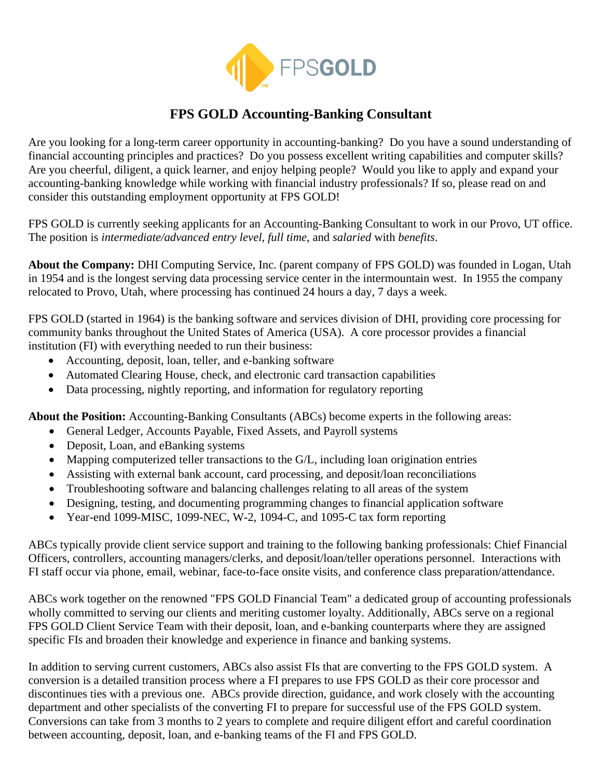

## **FPS GOLD Accounting-Banking Consultant**

Are you looking for a long-term career opportunity in accounting-banking? Do you have a sound understanding of financial accounting principles and practices? Do you possess excellent writing capabilities and computer skills? Are you cheerful, diligent, a quick learner, and enjoy helping people? Would you like to apply and expand your accounting-banking knowledge while working with financial industry professionals? If so, please read on and consider this outstanding employment opportunity at FPS GOLD!

FPS GOLD is currently seeking applicants for an Accounting-Banking Consultant to work in our Provo, UT office. The position is *intermediate/advanced entry level*, *full time*, and *salaried* with *benefits*.

**About the Company:** DHI Computing Service, Inc. (parent company of FPS GOLD) was founded in Logan, Utah in 1954 and is the longest serving data processing service center in the intermountain west. In 1955 the company relocated to Provo, Utah, where processing has continued 24 hours a day, 7 days a week.

FPS GOLD (started in 1964) is the banking software and services division of DHI, providing core processing for community banks throughout the United States of America (USA). A core processor provides a financial institution (FI) with everything needed to run their business:

- Accounting, deposit, loan, teller, and e-banking software
- Automated Clearing House, check, and electronic card transaction capabilities
- Data processing, nightly reporting, and information for regulatory reporting

**About the Position:** Accounting-Banking Consultants (ABCs) become experts in the following areas:

- General Ledger, Accounts Payable, Fixed Assets, and Payroll systems
- Deposit, Loan, and eBanking systems
- Mapping computerized teller transactions to the G/L, including loan origination entries
- Assisting with external bank account, card processing, and deposit/loan reconciliations
- Troubleshooting software and balancing challenges relating to all areas of the system
- Designing, testing, and documenting programming changes to financial application software
- Year-end 1099-MISC, 1099-NEC, W-2, 1094-C, and 1095-C tax form reporting

ABCs typically provide client service support and training to the following banking professionals: Chief Financial Officers, controllers, accounting managers/clerks, and deposit/loan/teller operations personnel. Interactions with FI staff occur via phone, email, webinar, face-to-face onsite visits, and conference class preparation/attendance.

ABCs work together on the renowned "FPS GOLD Financial Team" a dedicated group of accounting professionals wholly committed to serving our clients and meriting customer loyalty. Additionally, ABCs serve on a regional FPS GOLD Client Service Team with their deposit, loan, and e-banking counterparts where they are assigned specific FIs and broaden their knowledge and experience in finance and banking systems.

In addition to serving current customers, ABCs also assist FIs that are converting to the FPS GOLD system. A conversion is a detailed transition process where a FI prepares to use FPS GOLD as their core processor and discontinues ties with a previous one. ABCs provide direction, guidance, and work closely with the accounting department and other specialists of the converting FI to prepare for successful use of the FPS GOLD system. Conversions can take from 3 months to 2 years to complete and require diligent effort and careful coordination between accounting, deposit, loan, and e-banking teams of the FI and FPS GOLD.